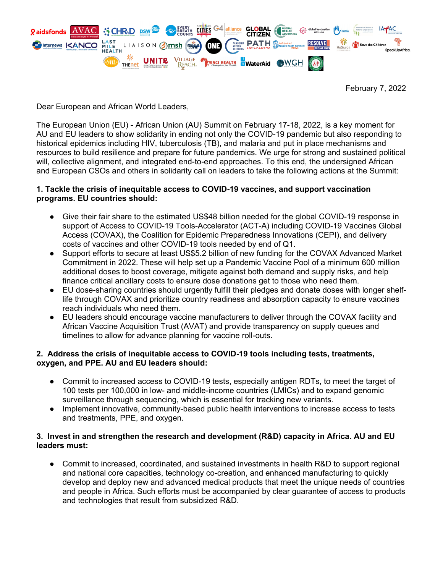

February 7, 2022

Dear European and African World Leaders,

The European Union (EU) - African Union (AU) Summit on February 17-18, 2022, is a key moment for AU and EU leaders to show solidarity in ending not only the COVID-19 pandemic but also responding to historical epidemics including HIV, tuberculosis (TB), and malaria and put in place mechanisms and resources to build resilience and prepare for future pandemics. We urge for strong and sustained political will, collective alignment, and integrated end-to-end approaches. To this end, the undersigned African and European CSOs and others in solidarity call on leaders to take the following actions at the Summit:

## **1. Tackle the crisis of inequitable access to COVID-19 vaccines, and support vaccination programs. EU countries should:**

- Give their fair share to the estimated US\$48 billion needed for the global COVID-19 response in support of Access to COVID-19 Tools-Accelerator (ACT-A) including COVID-19 Vaccines Global Access (COVAX), the Coalition for Epidemic Preparedness Innovations (CEPI), and delivery costs of vaccines and other COVID-19 tools needed by end of Q1.
- Support efforts to secure at least US\$5.2 billion of new funding for the COVAX Advanced Market Commitment in 2022. These will help set up a Pandemic Vaccine Pool of a minimum 600 million additional doses to boost coverage, mitigate against both demand and supply risks, and help finance critical ancillary costs to ensure dose donations get to those who need them.
- EU dose-sharing countries should urgently fulfill their pledges and donate doses with longer shelflife through COVAX and prioritize country readiness and absorption capacity to ensure vaccines reach individuals who need them.
- EU leaders should encourage vaccine manufacturers to deliver through the COVAX facility and African Vaccine Acquisition Trust (AVAT) and provide transparency on supply queues and timelines to allow for advance planning for vaccine roll-outs.

## **2. Address the crisis of inequitable access to COVID-19 tools including tests, treatments, oxygen, and PPE. AU and EU leaders should:**

- Commit to increased access to COVID-19 tests, especially antigen RDTs, to meet the target of 100 tests per 100,000 in low- and middle-income countries (LMICs) and to expand genomic surveillance through sequencing, which is essential for tracking new variants.
- Implement innovative, community-based public health interventions to increase access to tests and treatments, PPE, and oxygen.

# **3. Invest in and strengthen the research and development (R&D) capacity in Africa. AU and EU leaders must:**

● Commit to increased, coordinated, and sustained investments in health R&D to support regional and national core capacities, technology co-creation, and enhanced manufacturing to quickly develop and deploy new and advanced medical products that meet the unique needs of countries and people in Africa. Such efforts must be accompanied by clear guarantee of access to products and technologies that result from subsidized R&D.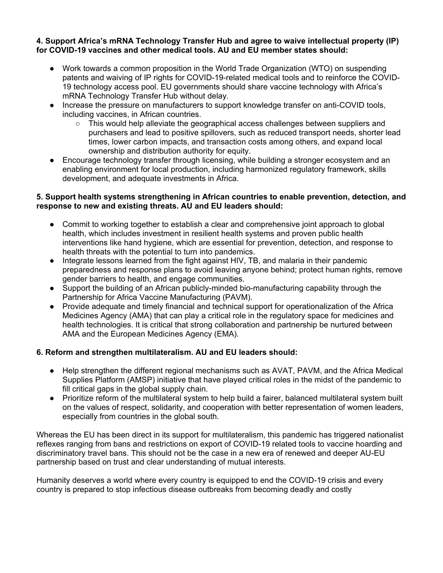#### **4. Support Africa's mRNA Technology Transfer Hub and agree to waive intellectual property (IP) for COVID-19 vaccines and other medical tools. AU and EU member states should:**

- Work towards a common proposition in the World Trade Organization (WTO) on suspending patents and waiving of IP rights for COVID-19-related medical tools and to reinforce the COVID-19 technology access pool. EU governments should share vaccine technology with Africa's mRNA Technology Transfer Hub without delay.
- Increase the pressure on manufacturers to support knowledge transfer on anti-COVID tools, including vaccines, in African countries.
	- This would help alleviate the geographical access challenges between suppliers and purchasers and lead to positive spillovers, such as reduced transport needs, shorter lead times, lower carbon impacts, and transaction costs among others, and expand local ownership and distribution authority for equity.
- Encourage technology transfer through licensing, while building a stronger ecosystem and an enabling environment for local production, including harmonized regulatory framework, skills development, and adequate investments in Africa.

## **5. Support health systems strengthening in African countries to enable prevention, detection, and response to new and existing threats. AU and EU leaders should:**

- Commit to working together to establish a clear and comprehensive joint approach to global health, which includes investment in resilient health systems and proven public health interventions like hand hygiene, which are essential for prevention, detection, and response to health threats with the potential to turn into pandemics.
- Integrate lessons learned from the fight against HIV, TB, and malaria in their pandemic preparedness and response plans to avoid leaving anyone behind; protect human rights, remove gender barriers to health, and engage communities.
- Support the building of an African publicly-minded bio-manufacturing capability through the Partnership for Africa Vaccine Manufacturing (PAVM).
- Provide adequate and timely financial and technical support for operationalization of the Africa Medicines Agency (AMA) that can play a critical role in the regulatory space for medicines and health technologies. It is critical that strong collaboration and partnership be nurtured between AMA and the European Medicines Agency (EMA).

# **6. Reform and strengthen multilateralism. AU and EU leaders should:**

- Help strengthen the different regional mechanisms such as AVAT, PAVM, and the Africa Medical Supplies Platform (AMSP) initiative that have played critical roles in the midst of the pandemic to fill critical gaps in the global supply chain.
- Prioritize reform of the multilateral system to help build a fairer, balanced multilateral system built on the values of respect, solidarity, and cooperation with better representation of women leaders, especially from countries in the global south.

Whereas the EU has been direct in its support for multilateralism, this pandemic has triggered nationalist reflexes ranging from bans and restrictions on export of COVID-19 related tools to vaccine hoarding and discriminatory travel bans. This should not be the case in a new era of renewed and deeper AU-EU partnership based on trust and clear understanding of mutual interests.

Humanity deserves a world where every country is equipped to end the COVID-19 crisis and every country is prepared to stop infectious disease outbreaks from becoming deadly and costly